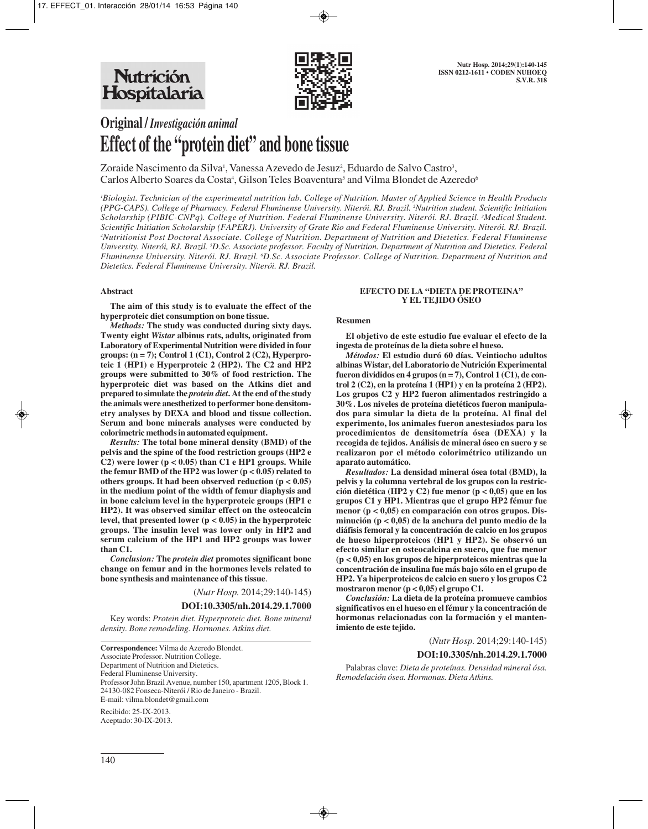

# **Original /** *Investigación animal* **Effect of the "protein diet" and bone tissue**

Zoraide Nascimento da Silva<sup>1</sup>, Vanessa Azevedo de Jesuz<sup>2</sup>, Eduardo de Salvo Castro<sup>3</sup>, Carlos Alberto Soares da Costa<sup>4</sup>, Gilson Teles Boaventura<sup>5</sup> and Vilma Blondet de Azeredo<sup>6</sup>

*1 Biologist. Technician of the experimental nutrition lab. College of Nutrition. Master of Applied Science in Health Products (PPG-CAPS). College of Pharmacy. Federal Fluminense University. Niterói. RJ. Brazil. 2 Nutrition student. Scientific Initiation Scholarship (PIBIC-CNPq). College of Nutrition. Federal Fluminense University. Niterói. RJ. Brazil. 3 Medical Student. Scientific Initiation Scholarship (FAPERJ). University of Grate Rio and Federal Fluminense University. Niterói. RJ. Brazil. 4 Nutritionist Post Doctoral Associate. College of Nutrition. Department of Nutrition and Dietetics. Federal Fluminense University. Niterói, RJ. Brazil. 5 D.Sc. Associate professor. Faculty of Nutrition. Department of Nutrition and Dietetics. Federal Fluminense University. Niterói. RJ. Brazil. 6 D.Sc. Associate Professor. College of Nutrition. Department of Nutrition and Dietetics. Federal Fluminense University. Niterói. RJ. Brazil.*

### **Abstract**

**The aim of this study is to evaluate the effect of the hyperproteic diet consumption on bone tissue.** 

*Methods:* **The study was conducted during sixty days. Twenty eight** *Wistar* **albinus rats, adults, originated from Laboratory of Experimental Nutrition were divided in four groups: (n = 7); Control 1 (C1), Control 2 (C2), Hyperproteic 1 (HP1) e Hyperproteic 2 (HP2). The C2 and HP2 groups were submitted to 30% of food restriction. The hyperproteic diet was based on the Atkins diet and prepared to simulate the** *protein diet***. At the end of the study the animals were anesthetized to performer bone densitometry analyses by DEXA and blood and tissue collection. Serum and bone minerals analyses were conducted by colorimetric methods in automated equipment.** 

*Results:* **The total bone mineral density (BMD) of the pelvis and the spine of the food restriction groups (HP2 e C2) were lower (p < 0.05) than C1 e HP1 groups. While the femur BMD of the HP2 was lower (p < 0.05) related to others groups. It had been observed reduction (p < 0.05) in the medium point of the width of femur diaphysis and in bone calcium level in the hyperproteic groups (HP1 e HP2). It was observed similar effect on the osteocalcin level, that presented lower (p < 0.05) in the hyperproteic groups. The insulin level was lower only in HP2 and serum calcium of the HP1 and HP2 groups was lower than C1.** 

*Conclusion:* **The** *protein diet* **promotes significant bone change on femur and in the hormones levels related to bone synthesis and maintenance of this tissue**.

(*Nutr Hosp.* 2014;29:140-145)

#### **DOI:10.3305/nh.2014.29.1.7000**

Key words: *Protein diet. Hyperproteic diet. Bone mineral density. Bone remodeling. Hormones. Atkins diet.*

Aceptado: 30-IX-2013.

#### **EFECTO DE LA "DIETA DE PROTEINA" Y EL TEJIDO ÓSEO**

#### **Resumen**

**El objetivo de este estudio fue evaluar el efecto de la ingesta de proteínas de la dieta sobre el hueso.** 

*Métodos:* **El estudio duró 60 días. Veintiocho adultos albinas Wistar, del Laboratorio de Nutrición Experimental fueron divididos en 4 grupos (n = 7), Control 1 (C1), de control 2 (C2), en la proteína 1 (HP1) y en la proteína 2 (HP2). Los grupos C2 y HP2 fueron alimentados restringido a 30%. Los niveles de proteína dietéticos fueron manipulados para simular la dieta de la proteína. Al final del experimento, los animales fueron anestesiados para los procedimientos de densitometría ósea (DEXA) y la recogida de tejidos. Análisis de mineral óseo en suero y se realizaron por el método colorimétrico utilizando un aparato automático.** 

*Resultados:* **La densidad mineral ósea total (BMD), la pelvis y la columna vertebral de los grupos con la restricción dietética (HP2 y C2) fue menor (p < 0,05) que en los grupos C1 y HP1. Mientras que el grupo HP2 fémur fue menor (p < 0,05) en comparación con otros grupos. Disminución (p < 0,05) de la anchura del punto medio de la diáfisis femoral y la concentración de calcio en los grupos de hueso hiperproteicos (HP1 y HP2). Se observó un efecto similar en osteocalcina en suero, que fue menor (p < 0,05) en los grupos de hiperproteicos mientras que la concentración de insulina fue más bajo sólo en el grupo de HP2. Ya hiperproteicos de calcio en suero y los grupos C2 mostraron menor (p < 0,05) el grupo C1.** 

*Conclusión:* **La dieta de la proteína promueve cambios significativos en el hueso en el fémur y la concentración de hormonas relacionadas con la formación y el mantenimiento de este tejido.**

(*Nutr Hosp.* 2014;29:140-145)

#### **DOI:10.3305/nh.2014.29.1.7000**

Palabras clave: *Dieta de proteínas. Densidad mineral ósa. Remodelación ósea. Hormonas. Dieta Atkins.*

**Correspondence:** Vilma de Azeredo Blondet. Associate Professor. Nutrition College. Department of Nutrition and Dietetics. Federal Fluminense University. Professor John Brazil Avenue, number 150, apartment 1205, Block 1. 24130-082 Fonseca-Niterói / Rio de Janeiro - Brazil. E-mail: vilma.blondet@gmail.com Recibido: 25-IX-2013.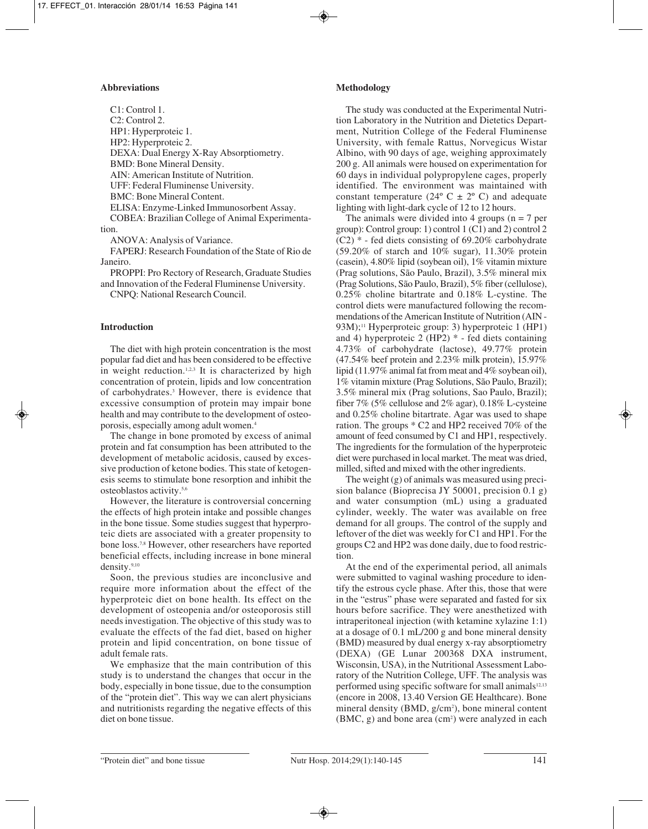## **Abbreviations**

C1: Control 1. C2: Control 2. HP1: Hyperproteic 1. HP2: Hyperproteic 2. DEXA: Dual Energy X-Ray Absorptiometry. BMD: Bone Mineral Density. AIN: American Institute of Nutrition. UFF: Federal Fluminense University. BMC: Bone Mineral Content. ELISA: Enzyme-Linked Immunosorbent Assay. COBEA: Brazilian College of Animal Experimentation.

ANOVA: Analysis of Variance.

FAPERJ: Research Foundation of the State of Rio de Janeiro.

PROPPI: Pro Rectory of Research, Graduate Studies and Innovation of the Federal Fluminense University.

CNPQ: National Research Council.

#### **Introduction**

The diet with high protein concentration is the most popular fad diet and has been considered to be effective in weight reduction.<sup>1,2,3</sup> It is characterized by high concentration of protein, lipids and low concentration of carbohydrates.3 However, there is evidence that excessive consumption of protein may impair bone health and may contribute to the development of osteoporosis, especially among adult women.4

The change in bone promoted by excess of animal protein and fat consumption has been attributed to the development of metabolic acidosis, caused by excessive production of ketone bodies. This state of ketogenesis seems to stimulate bone resorption and inhibit the osteoblastos activity.5,6

However, the literature is controversial concerning the effects of high protein intake and possible changes in the bone tissue. Some studies suggest that hyperproteic diets are associated with a greater propensity to bone loss.7,8 However, other researchers have reported beneficial effects, including increase in bone mineral density.9,10

Soon, the previous studies are inconclusive and require more information about the effect of the hyperproteic diet on bone health. Its effect on the development of osteopenia and/or osteoporosis still needs investigation. The objective of this study was to evaluate the effects of the fad diet, based on higher protein and lipid concentration, on bone tissue of adult female rats.

We emphasize that the main contribution of this study is to understand the changes that occur in the body, especially in bone tissue, due to the consumption of the "protein diet". This way we can alert physicians and nutritionists regarding the negative effects of this diet on bone tissue.

## **Methodology**

The study was conducted at the Experimental Nutrition Laboratory in the Nutrition and Dietetics Department, Nutrition College of the Federal Fluminense University, with female Rattus, Norvegicus Wistar Albino, with 90 days of age, weighing approximately 200 g. All animals were housed on experimentation for 60 days in individual polypropylene cages, properly identified. The environment was maintained with constant temperature ( $24^{\circ}$  C  $\pm$  2° C) and adequate lighting with light-dark cycle of 12 to 12 hours.

The animals were divided into 4 groups  $(n = 7$  per group): Control group: 1) control 1 (C1) and 2) control 2  $(C2)$  \* - fed diets consisting of 69.20% carbohydrate (59.20% of starch and 10% sugar), 11.30% protein (casein), 4.80% lipid (soybean oil), 1% vitamin mixture (Prag solutions, São Paulo, Brazil), 3.5% mineral mix (Prag Solutions, São Paulo, Brazil), 5% fiber (cellulose), 0.25% choline bitartrate and 0.18% L-cystine. The control diets were manufactured following the recommendations of the American Institute of Nutrition (AIN - 93M);<sup>11</sup> Hyperproteic group: 3) hyperproteic 1 (HP1) and 4) hyperproteic 2 (HP2) \* - fed diets containing 4.73% of carbohydrate (lactose), 49.77% protein (47.54% beef protein and 2.23% milk protein), 15.97% lipid (11.97% animal fat from meat and 4% soybean oil), 1% vitamin mixture (Prag Solutions, São Paulo, Brazil); 3.5% mineral mix (Prag solutions, Sao Paulo, Brazil); fiber 7% (5% cellulose and 2% agar), 0.18% L-cysteine and 0.25% choline bitartrate. Agar was used to shape ration. The groups \* C2 and HP2 received 70% of the amount of feed consumed by C1 and HP1, respectively. The ingredients for the formulation of the hyperproteic diet were purchased in local market. The meat was dried, milled, sifted and mixed with the other ingredients.

The weight (g) of animals was measured using precision balance (Bioprecisa JY 50001, precision 0.1 g) and water consumption (mL) using a graduated cylinder, weekly. The water was available on free demand for all groups. The control of the supply and leftover of the diet was weekly for C1 and HP1. For the groups C2 and HP2 was done daily, due to food restriction.

At the end of the experimental period, all animals were submitted to vaginal washing procedure to identify the estrous cycle phase. After this, those that were in the "estrus" phase were separated and fasted for six hours before sacrifice. They were anesthetized with intraperitoneal injection (with ketamine xylazine 1:1) at a dosage of 0.1 mL/200 g and bone mineral density (BMD) measured by dual energy x-ray absorptiometry (DEXA) (GE Lunar 200368 DXA instrument, Wisconsin, USA), in the Nutritional Assessment Laboratory of the Nutrition College, UFF. The analysis was performed using specific software for small animals $12,13$ (encore in 2008, 13.40 Version GE Healthcare). Bone mineral density (BMD, g/cm<sup>2</sup>), bone mineral content  $(BMC, g)$  and bone area  $(cm<sup>2</sup>)$  were analyzed in each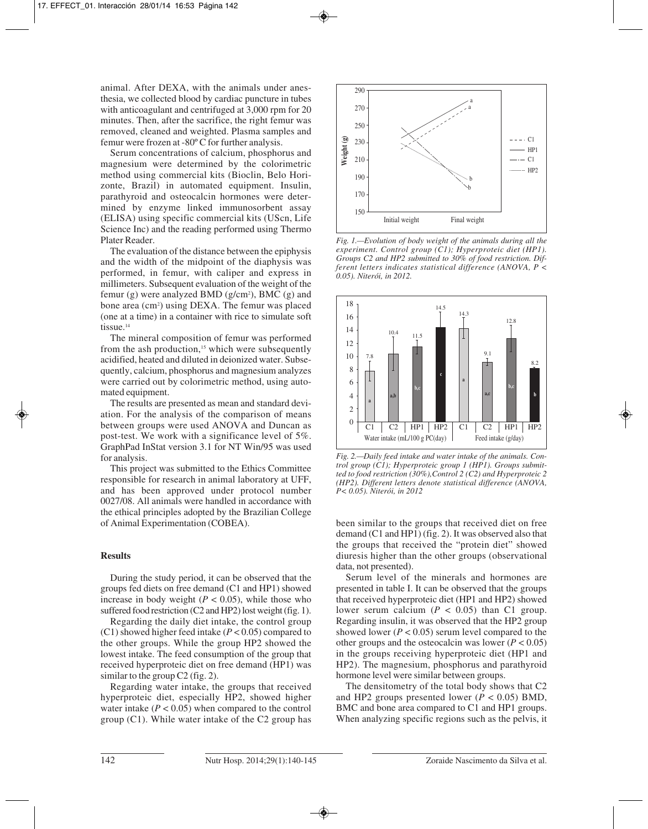animal. After DEXA, with the animals under anesthesia, we collected blood by cardiac puncture in tubes with anticoagulant and centrifuged at 3,000 rpm for 20 minutes. Then, after the sacrifice, the right femur was removed, cleaned and weighted. Plasma samples and femur were frozen at -80º C for further analysis.

Serum concentrations of calcium, phosphorus and magnesium were determined by the colorimetric method using commercial kits (Bioclin, Belo Horizonte, Brazil) in automated equipment. Insulin, parathyroid and osteocalcin hormones were determined by enzyme linked immunosorbent assay (ELISA) using specific commercial kits (UScn, Life Science Inc) and the reading performed using Thermo Plater Reader.

The evaluation of the distance between the epiphysis and the width of the midpoint of the diaphysis was performed, in femur, with caliper and express in millimeters. Subsequent evaluation of the weight of the femur (g) were analyzed BMD (g/cm<sup>2</sup>), BMC (g) and bone area (cm<sup>2</sup>) using DEXA. The femur was placed (one at a time) in a container with rice to simulate soft tissue.<sup>14</sup>

The mineral composition of femur was performed from the ash production,<sup>15</sup> which were subsequently acidified, heated and diluted in deionized water. Subsequently, calcium, phosphorus and magnesium analyzes were carried out by colorimetric method, using automated equipment.

The results are presented as mean and standard deviation. For the analysis of the comparison of means between groups were used ANOVA and Duncan as post-test. We work with a significance level of 5%. GraphPad InStat version 3.1 for NT Win/95 was used for analysis.

This project was submitted to the Ethics Committee responsible for research in animal laboratory at UFF, and has been approved under protocol number 0027/08. All animals were handled in accordance with the ethical principles adopted by the Brazilian College of Animal Experimentation (COBEA).

## **Results**

During the study period, it can be observed that the groups fed diets on free demand (C1 and HP1) showed increase in body weight  $(P < 0.05)$ , while those who suffered food restriction (C2 and HP2) lost weight (fig. 1).

Regarding the daily diet intake, the control group (C1) showed higher feed intake  $(P < 0.05)$  compared to the other groups. While the group HP2 showed the lowest intake. The feed consumption of the group that received hyperproteic diet on free demand (HP1) was similar to the group C2 (fig. 2).

Regarding water intake, the groups that received hyperproteic diet, especially HP2, showed higher water intake  $(P < 0.05)$  when compared to the control group (C1). While water intake of the C2 group has



*Fig. 1.—Evolution of body weight of the animals during all the experiment. Control group (C1); Hyperproteic diet (HP1). Groups C2 and HP2 submitted to 30% of food restriction. Different letters indicates statistical difference (ANOVA, P < 0.05). Niterói, in 2012.*



*Fig. 2.—Daily feed intake and water intake of the animals. Control group (C1); Hyperproteic group 1 (HP1). Groups submitted to food restriction (30%),Control 2 (C2) and Hyperproteic 2 (HP2). Different letters denote statistical difference (ANOVA, P< 0.05). Niterói, in 2012*

been similar to the groups that received diet on free demand (C1 and HP1) (fig. 2). It was observed also that the groups that received the "protein diet" showed diuresis higher than the other groups (observational data, not presented).

Serum level of the minerals and hormones are presented in table I. It can be observed that the groups that received hyperproteic diet (HP1 and HP2) showed lower serum calcium  $(P < 0.05)$  than C1 group. Regarding insulin, it was observed that the HP2 group showed lower ( $P < 0.05$ ) serum level compared to the other groups and the osteocalcin was lower ( $P < 0.05$ ) in the groups receiving hyperproteic diet (HP1 and HP2). The magnesium, phosphorus and parathyroid hormone level were similar between groups.

The densitometry of the total body shows that C2 and HP2 groups presented lower  $(P < 0.05)$  BMD, BMC and bone area compared to C1 and HP1 groups. When analyzing specific regions such as the pelvis, it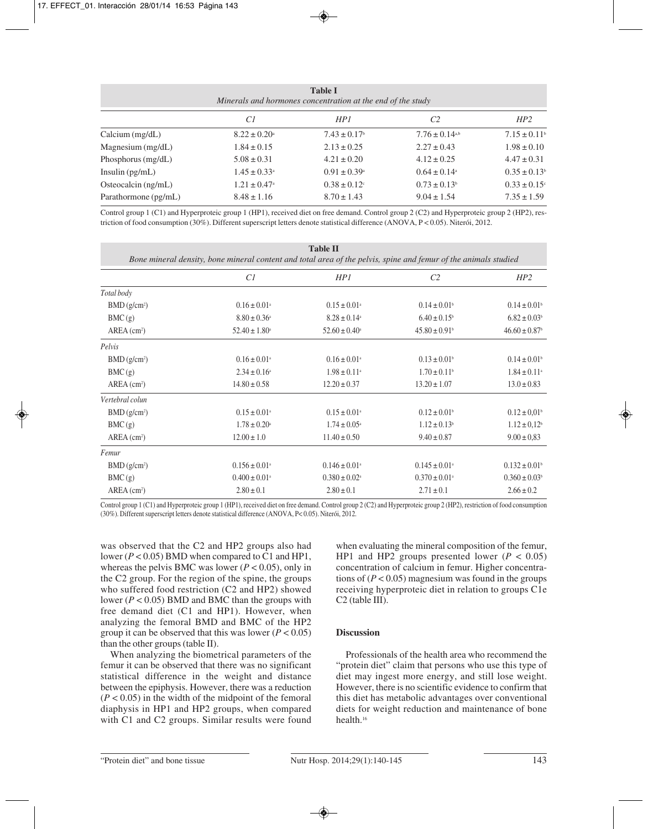| <b>Table I</b><br>Minerals and hormones concentration at the end of the study |                              |                              |                                |                              |  |  |  |
|-------------------------------------------------------------------------------|------------------------------|------------------------------|--------------------------------|------------------------------|--|--|--|
|                                                                               | CI                           | HP1                          | C <sub>2</sub>                 | HP2                          |  |  |  |
| Calcium (mg/dL)                                                               | $8.22 \pm 0.20^{\circ}$      | $7.43 \pm 0.17$ <sup>b</sup> | $7.76 \pm 0.14$ <sup>a,b</sup> | $7.15 \pm 0.11$ <sup>b</sup> |  |  |  |
| Magnesium (mg/dL)                                                             | $1.84 \pm 0.15$              | $2.13 \pm 0.25$              | $2.27 \pm 0.43$                | $1.98 \pm 0.10$              |  |  |  |
| Phosphorus (mg/dL)                                                            | $5.08 \pm 0.31$              | $4.21 \pm 0.20$              | $4.12 \pm 0.25$                | $4.47 \pm 0.31$              |  |  |  |
| Insulin $(pg/mL)$                                                             | $1.45 \pm 0.33^{\circ}$      | $0.91 \pm 0.39^{\circ}$      | $0.64 \pm 0.14$ <sup>a</sup>   | $0.35 \pm 0.13$ <sup>b</sup> |  |  |  |
| Osteocalcin (ng/mL)                                                           | $1.21 \pm 0.47$ <sup>a</sup> | $0.38 \pm 0.12$              | $0.73 \pm 0.13$ <sup>b</sup>   | $0.33 \pm 0.15$ <sup>c</sup> |  |  |  |
| Parathormone (pg/mL)                                                          | $8.48 \pm 1.16$              | $8.70 \pm 1.43$              | $9.04 \pm 1.54$                | $7.35 \pm 1.59$              |  |  |  |

Control group 1 (C1) and Hyperproteic group 1 (HP1), received diet on free demand. Control group 2 (C2) and Hyperproteic group 2 (HP2), restriction of food consumption (30%). Different superscript letters denote statistical difference (ANOVA, P < 0.05). Niterói, 2012.

| <b>Table II</b><br>Bone mineral density, bone mineral content and total area of the pelvis, spine and femur of the animals studied |                               |                               |                               |                               |  |  |  |
|------------------------------------------------------------------------------------------------------------------------------------|-------------------------------|-------------------------------|-------------------------------|-------------------------------|--|--|--|
|                                                                                                                                    | Cl                            | HP1                           | C <sub>2</sub>                | HP2                           |  |  |  |
| Total body                                                                                                                         |                               |                               |                               |                               |  |  |  |
| BMD(g/cm <sup>2</sup> )                                                                                                            | $0.16 \pm 0.01$ <sup>a</sup>  | $0.15 \pm 0.01^{\circ}$       | $0.14 \pm 0.01$ <sup>b</sup>  | $0.14 \pm 0.01$ <sup>b</sup>  |  |  |  |
| BMC(g)                                                                                                                             | $8.80 \pm 0.36^{\circ}$       | $8.28 \pm 0.14$ <sup>a</sup>  | $6.40 \pm 0.15$               | $6.82 \pm 0.03$ <sup>b</sup>  |  |  |  |
| $AREA$ (cm <sup>2</sup> )                                                                                                          | $52.40 \pm 1.80^{\circ}$      | $52.60 \pm 0.40^{\circ}$      | $45.80 \pm 0.91$ <sup>b</sup> | $46.60 \pm 0.87$ <sup>b</sup> |  |  |  |
| Pelvis                                                                                                                             |                               |                               |                               |                               |  |  |  |
| BMD(g/cm <sup>2</sup> )                                                                                                            | $0.16 \pm 0.01$ <sup>a</sup>  | $0.16 \pm 0.01$ <sup>a</sup>  | $0.13 \pm 0.01$ <sup>b</sup>  | $0.14 \pm 0.01$ <sup>b</sup>  |  |  |  |
| BMC(g)                                                                                                                             | $2.34 \pm 0.16^a$             | $1.98 \pm 0.11$ <sup>a</sup>  | $1.70 \pm 0.11$ <sup>b</sup>  | $1.84 \pm 0.11$ <sup>a</sup>  |  |  |  |
| $AREA$ (cm <sup>2</sup> )                                                                                                          | $14.80 \pm 0.58$              | $12.20 \pm 0.37$              | $13.20 \pm 1.07$              | $13.0 \pm 0.83$               |  |  |  |
| Vertebral colun                                                                                                                    |                               |                               |                               |                               |  |  |  |
| BMD(g/cm <sup>2</sup> )                                                                                                            | $0.15 \pm 0.01$ <sup>a</sup>  | $0.15 \pm 0.01^{\circ}$       | $0.12 \pm 0.01$ <sup>b</sup>  | $0.12 \pm 0.01$ <sup>b</sup>  |  |  |  |
| BMC(g)                                                                                                                             | $1.78 \pm 0.20^{\circ}$       | $1.74 \pm 0.05^{\circ}$       | $1.12 \pm 0.13$ <sup>b</sup>  | $1.12 \pm 0.12$ <sup>b</sup>  |  |  |  |
| $AREA$ (cm <sup>2</sup> )                                                                                                          | $12.00 \pm 1.0$               | $11.40 \pm 0.50$              | $9.40 \pm 0.87$               | $9.00 \pm 0.83$               |  |  |  |
| Femur                                                                                                                              |                               |                               |                               |                               |  |  |  |
| BMD(g/cm <sup>2</sup> )                                                                                                            | $0.156 \pm 0.01$ <sup>a</sup> | $0.146 \pm 0.01$ <sup>a</sup> | $0.145 \pm 0.01$ <sup>a</sup> | $0.132 \pm 0.01$ <sup>b</sup> |  |  |  |
| BMC(g)                                                                                                                             | $0.400 \pm 0.01$ <sup>a</sup> | $0.380 \pm 0.02^{\circ}$      | $0.370 \pm 0.01$ <sup>a</sup> | $0.360 \pm 0.03$ <sup>b</sup> |  |  |  |
| $AREA$ (cm <sup>2</sup> )                                                                                                          | $2.80 \pm 0.1$                | $2.80 \pm 0.1$                | $2.71 \pm 0.1$                | $2.66 \pm 0.2$                |  |  |  |

Control group 1 (C1) and Hyperproteic group 1 (HP1), received diet on free demand. Control group 2 (C2) and Hyperproteic group 2 (HP2), restriction of food consumption (30%). Different superscript letters denote statistical difference (ANOVA, P< 0.05). Niterói, 2012.

was observed that the C2 and HP2 groups also had lower (*P* < 0.05) BMD when compared to C1 and HP1, whereas the pelvis BMC was lower ( $P < 0.05$ ), only in the C2 group. For the region of the spine, the groups who suffered food restriction (C2 and HP2) showed lower (*P* < 0.05) BMD and BMC than the groups with free demand diet (C1 and HP1). However, when analyzing the femoral BMD and BMC of the HP2 group it can be observed that this was lower  $(P < 0.05)$ than the other groups (table II).

When analyzing the biometrical parameters of the femur it can be observed that there was no significant statistical difference in the weight and distance between the epiphysis. However, there was a reduction  $(P < 0.05)$  in the width of the midpoint of the femoral diaphysis in HP1 and HP2 groups, when compared with C1 and C2 groups. Similar results were found when evaluating the mineral composition of the femur, HP1 and HP2 groups presented lower  $(P < 0.05)$ concentration of calcium in femur. Higher concentrations of  $(P < 0.05)$  magnesium was found in the groups receiving hyperproteic diet in relation to groups C1e C2 (table III).

## **Discussion**

Professionals of the health area who recommend the "protein diet" claim that persons who use this type of diet may ingest more energy, and still lose weight. However, there is no scientific evidence to confirm that this diet has metabolic advantages over conventional diets for weight reduction and maintenance of bone health.16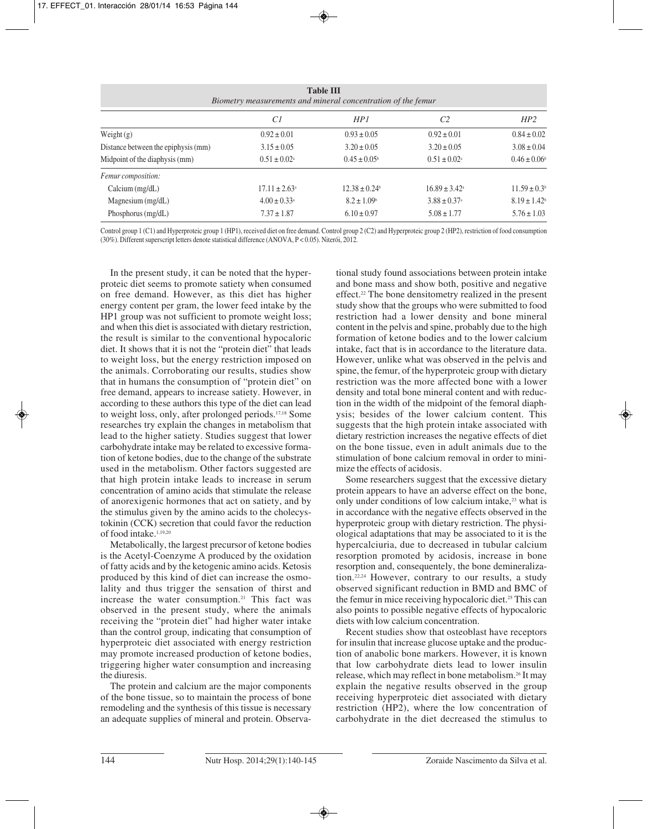| <b>Table III</b><br>Biometry measurements and mineral concentration of the femur |                               |                             |                              |                              |  |  |  |  |
|----------------------------------------------------------------------------------|-------------------------------|-----------------------------|------------------------------|------------------------------|--|--|--|--|
|                                                                                  | Cl                            | HP1                         | C <sub>2</sub>               | HP2                          |  |  |  |  |
| Weight $(g)$                                                                     | $0.92 \pm 0.01$               | $0.93 \pm 0.05$             | $0.92 \pm 0.01$              | $0.84 \pm 0.02$              |  |  |  |  |
| Distance between the epiphysis (mm)                                              | $3.15 \pm 0.05$               | $3.20 \pm 0.05$             | $3.20 \pm 0.05$              | $3.08 \pm 0.04$              |  |  |  |  |
| Midpoint of the diaphysis (mm)                                                   | $0.51 \pm 0.02^{\circ}$       | $0.45 \pm 0.05^{\circ}$     | $0.51 \pm 0.02^{\circ}$      | $0.46 \pm 0.06^b$            |  |  |  |  |
| Femur composition:                                                               |                               |                             |                              |                              |  |  |  |  |
| Calcium (mg/dL)                                                                  | $17.11 \pm 2.63$ <sup>a</sup> | $12.38 \pm 0.24$            | $16.89 \pm 3.42^{\circ}$     | $11.59 \pm 0.3$ <sup>b</sup> |  |  |  |  |
| Magnesium $(mg/dL)$                                                              | $4.00 \pm 0.33$ <sup>a</sup>  | $8.2 \pm 1.09$ <sup>b</sup> | $3.88 \pm 0.37$ <sup>a</sup> | $8.19 \pm 1.42$              |  |  |  |  |
| Phosphorus (mg/dL)                                                               | $7.37 \pm 1.87$               | $6.10 \pm 0.97$             | $5.08 \pm 1.77$              | $5.76 \pm 1.03$              |  |  |  |  |

Control group 1 (C1) and Hyperproteic group 1 (HP1), received diet on free demand. Control group 2 (C2) and Hyperproteic group 2 (HP2), restriction of food consumption (30%). Different superscript letters denote statistical difference (ANOVA, P < 0.05). Niterói, 2012.

In the present study, it can be noted that the hyperproteic diet seems to promote satiety when consumed on free demand. However, as this diet has higher energy content per gram, the lower feed intake by the HP1 group was not sufficient to promote weight loss; and when this diet is associated with dietary restriction, the result is similar to the conventional hypocaloric diet. It shows that it is not the "protein diet" that leads to weight loss, but the energy restriction imposed on the animals. Corroborating our results, studies show that in humans the consumption of "protein diet" on free demand, appears to increase satiety. However, in according to these authors this type of the diet can lead to weight loss, only, after prolonged periods.17,18 Some researches try explain the changes in metabolism that lead to the higher satiety. Studies suggest that lower carbohydrate intake may be related to excessive formation of ketone bodies, due to the change of the substrate used in the metabolism. Other factors suggested are that high protein intake leads to increase in serum concentration of amino acids that stimulate the release of anorexigenic hormones that act on satiety, and by the stimulus given by the amino acids to the cholecystokinin (CCK) secretion that could favor the reduction of food intake.1,19,20

Metabolically, the largest precursor of ketone bodies is the Acetyl-Coenzyme A produced by the oxidation of fatty acids and by the ketogenic amino acids. Ketosis produced by this kind of diet can increase the osmolality and thus trigger the sensation of thirst and increase the water consumption.<sup>21</sup> This fact was observed in the present study, where the animals receiving the "protein diet" had higher water intake than the control group, indicating that consumption of hyperproteic diet associated with energy restriction may promote increased production of ketone bodies, triggering higher water consumption and increasing the diuresis.

The protein and calcium are the major components of the bone tissue, so to maintain the process of bone remodeling and the synthesis of this tissue is necessary an adequate supplies of mineral and protein. Observational study found associations between protein intake and bone mass and show both, positive and negative effect.22 The bone densitometry realized in the present study show that the groups who were submitted to food restriction had a lower density and bone mineral content in the pelvis and spine, probably due to the high formation of ketone bodies and to the lower calcium intake, fact that is in accordance to the literature data. However, unlike what was observed in the pelvis and spine, the femur, of the hyperproteic group with dietary restriction was the more affected bone with a lower density and total bone mineral content and with reduction in the width of the midpoint of the femoral diaphysis; besides of the lower calcium content. This suggests that the high protein intake associated with dietary restriction increases the negative effects of diet on the bone tissue, even in adult animals due to the stimulation of bone calcium removal in order to minimize the effects of acidosis.

Some researchers suggest that the excessive dietary protein appears to have an adverse effect on the bone, only under conditions of low calcium intake,<sup>23</sup> what is in accordance with the negative effects observed in the hyperproteic group with dietary restriction. The physiological adaptations that may be associated to it is the hypercalciuria, due to decreased in tubular calcium resorption promoted by acidosis, increase in bone resorption and, consequentely, the bone demineralization.22,24 However, contrary to our results, a study observed significant reduction in BMD and BMC of the femur in mice receiving hypocaloric diet.<sup>25</sup> This can also points to possible negative effects of hypocaloric diets with low calcium concentration.

Recent studies show that osteoblast have receptors for insulin that increase glucose uptake and the production of anabolic bone markers. However, it is known that low carbohydrate diets lead to lower insulin release, which may reflect in bone metabolism.26 It may explain the negative results observed in the group receiving hyperproteic diet associated with dietary restriction (HP2), where the low concentration of carbohydrate in the diet decreased the stimulus to